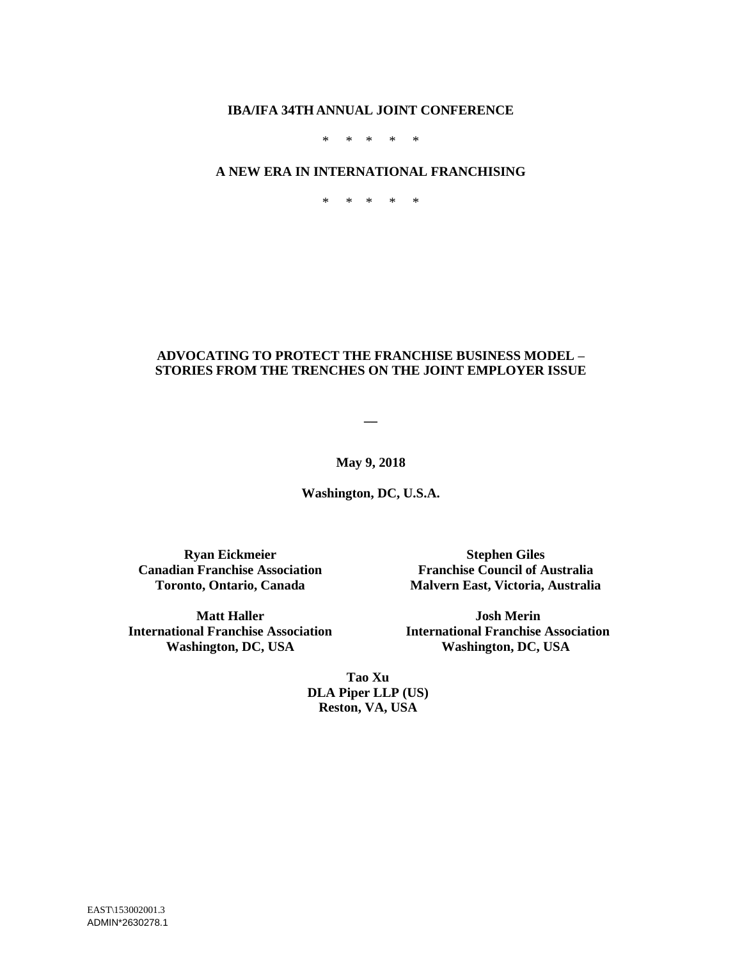#### **IBA/IFA 34TH ANNUAL JOINT CONFERENCE**

\* \* \* \* \*

#### **A NEW ERA IN INTERNATIONAL FRANCHISING**

\* \* \* \* \*

### **ADVOCATING TO PROTECT THE FRANCHISE BUSINESS MODEL – STORIES FROM THE TRENCHES ON THE JOINT EMPLOYER ISSUE**

**\_\_**

**May 9, 2018**

**Washington, DC, U.S.A.**

**Ryan Eickmeier Canadian Franchise Association Toronto, Ontario, Canada**

**Stephen Giles Franchise Council of Australia Malvern East, Victoria, Australia**

**Matt Haller International Franchise Association Washington, DC, USA**

**Josh Merin International Franchise Association Washington, DC, USA**

**Tao Xu DLA Piper LLP (US) Reston, VA, USA**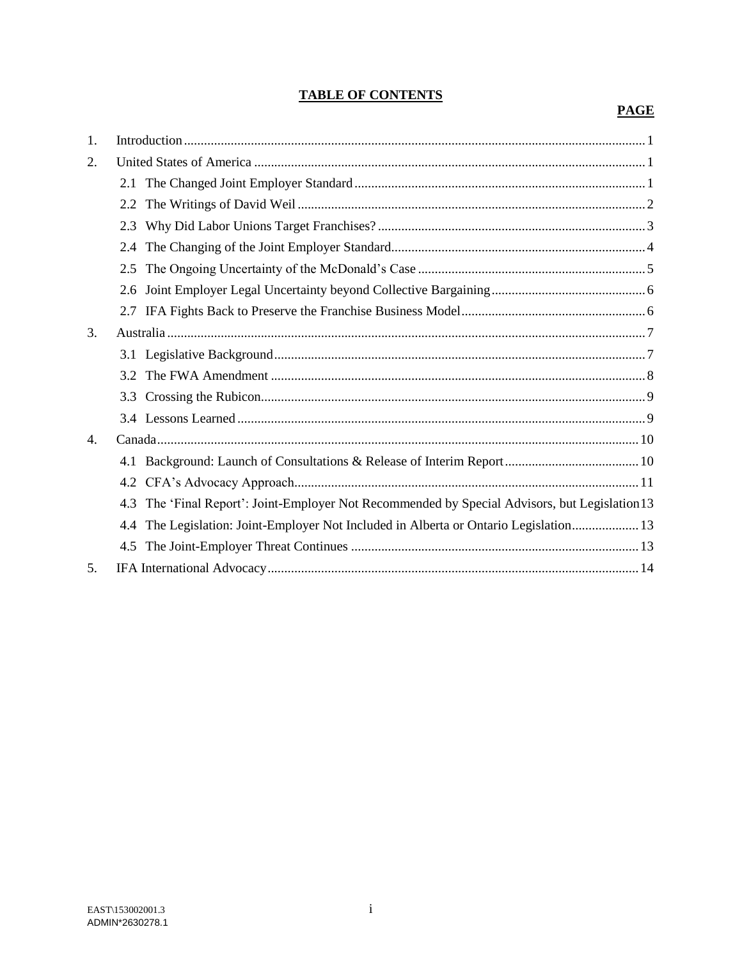# **TABLE OF CONTENTS**

# **PAGE**

| 1.               |     |                                                                                            |
|------------------|-----|--------------------------------------------------------------------------------------------|
| 2.               |     |                                                                                            |
|                  |     |                                                                                            |
|                  |     |                                                                                            |
|                  | 2.3 |                                                                                            |
|                  |     |                                                                                            |
|                  | 2.5 |                                                                                            |
|                  | 2.6 |                                                                                            |
|                  |     |                                                                                            |
| 3.               |     |                                                                                            |
|                  |     |                                                                                            |
|                  |     |                                                                                            |
|                  | 3.3 |                                                                                            |
|                  |     |                                                                                            |
| $\overline{4}$ . |     |                                                                                            |
|                  |     |                                                                                            |
|                  |     |                                                                                            |
|                  | 4.3 | The 'Final Report': Joint-Employer Not Recommended by Special Advisors, but Legislation 13 |
|                  |     | 4.4 The Legislation: Joint-Employer Not Included in Alberta or Ontario Legislation 13      |
|                  |     |                                                                                            |
| 5.               |     |                                                                                            |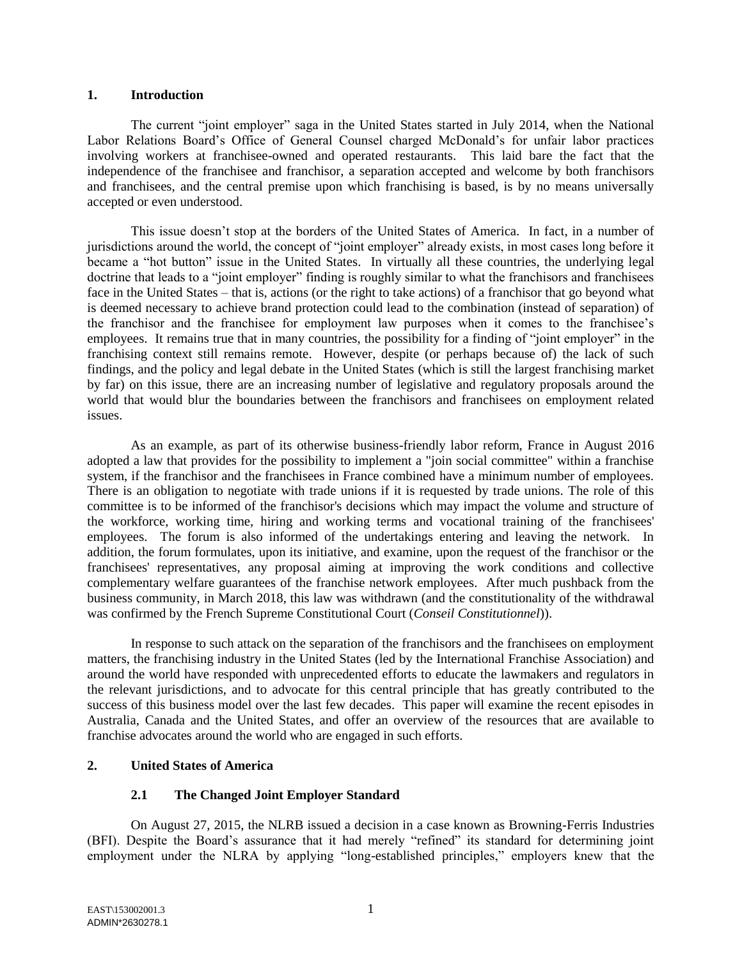#### **1. Introduction**

The current "joint employer" saga in the United States started in July 2014, when the National Labor Relations Board's Office of General Counsel charged McDonald's for unfair labor practices involving workers at franchisee-owned and operated restaurants. This laid bare the fact that the independence of the franchisee and franchisor, a separation accepted and welcome by both franchisors and franchisees, and the central premise upon which franchising is based, is by no means universally accepted or even understood.

This issue doesn't stop at the borders of the United States of America. In fact, in a number of jurisdictions around the world, the concept of "joint employer" already exists, in most cases long before it became a "hot button" issue in the United States. In virtually all these countries, the underlying legal doctrine that leads to a "joint employer" finding is roughly similar to what the franchisors and franchisees face in the United States – that is, actions (or the right to take actions) of a franchisor that go beyond what is deemed necessary to achieve brand protection could lead to the combination (instead of separation) of the franchisor and the franchisee for employment law purposes when it comes to the franchisee's employees. It remains true that in many countries, the possibility for a finding of "joint employer" in the franchising context still remains remote. However, despite (or perhaps because of) the lack of such findings, and the policy and legal debate in the United States (which is still the largest franchising market by far) on this issue, there are an increasing number of legislative and regulatory proposals around the world that would blur the boundaries between the franchisors and franchisees on employment related issues.

As an example, as part of its otherwise business-friendly labor reform, France in August 2016 adopted a law that provides for the possibility to implement a "join social committee" within a franchise system, if the franchisor and the franchisees in France combined have a minimum number of employees. There is an obligation to negotiate with trade unions if it is requested by trade unions. The role of this committee is to be informed of the franchisor's decisions which may impact the volume and structure of the workforce, working time, hiring and working terms and vocational training of the franchisees' employees. The forum is also informed of the undertakings entering and leaving the network. In addition, the forum formulates, upon its initiative, and examine, upon the request of the franchisor or the franchisees' representatives, any proposal aiming at improving the work conditions and collective complementary welfare guarantees of the franchise network employees. After much pushback from the business community, in March 2018, this law was withdrawn (and the constitutionality of the withdrawal was confirmed by the French Supreme Constitutional Court (*Conseil Constitutionnel*)).

In response to such attack on the separation of the franchisors and the franchisees on employment matters, the franchising industry in the United States (led by the International Franchise Association) and around the world have responded with unprecedented efforts to educate the lawmakers and regulators in the relevant jurisdictions, and to advocate for this central principle that has greatly contributed to the success of this business model over the last few decades. This paper will examine the recent episodes in Australia, Canada and the United States, and offer an overview of the resources that are available to franchise advocates around the world who are engaged in such efforts.

### **2. United States of America**

# **2.1 The Changed Joint Employer Standard**

On August 27, 2015, the NLRB issued a decision in a case known as Browning-Ferris Industries (BFI). Despite the Board's assurance that it had merely "refined" its standard for determining joint employment under the NLRA by applying "long-established principles," employers knew that the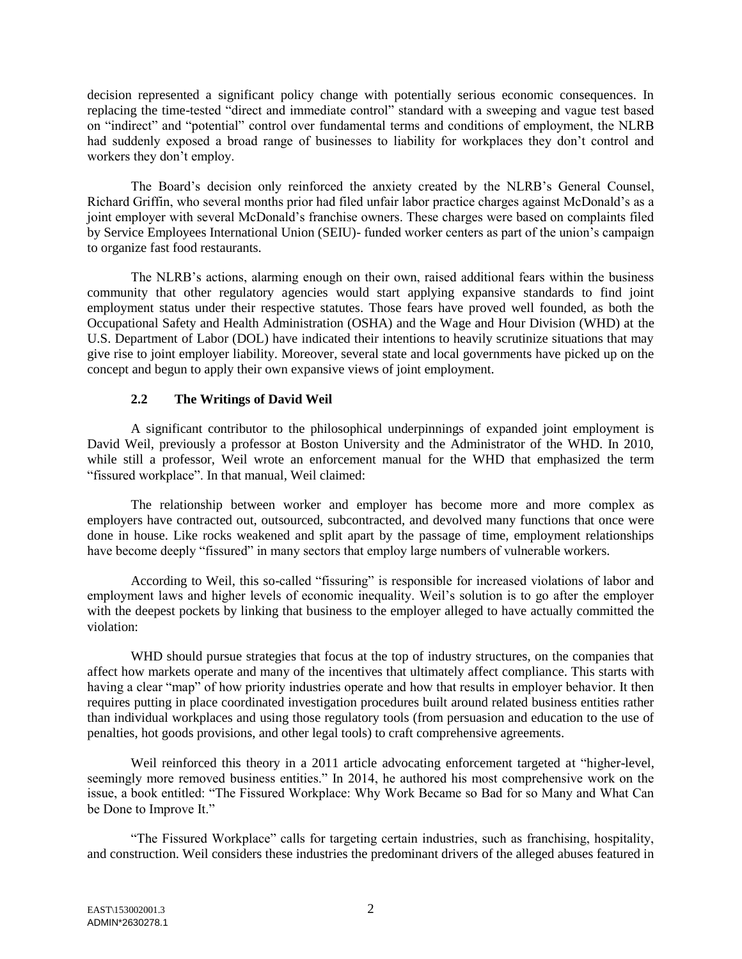decision represented a significant policy change with potentially serious economic consequences. In replacing the time-tested "direct and immediate control" standard with a sweeping and vague test based on "indirect" and "potential" control over fundamental terms and conditions of employment, the NLRB had suddenly exposed a broad range of businesses to liability for workplaces they don't control and workers they don't employ.

The Board's decision only reinforced the anxiety created by the NLRB's General Counsel, Richard Griffin, who several months prior had filed unfair labor practice charges against McDonald's as a joint employer with several McDonald's franchise owners. These charges were based on complaints filed by Service Employees International Union (SEIU)- funded worker centers as part of the union's campaign to organize fast food restaurants.

The NLRB's actions, alarming enough on their own, raised additional fears within the business community that other regulatory agencies would start applying expansive standards to find joint employment status under their respective statutes. Those fears have proved well founded, as both the Occupational Safety and Health Administration (OSHA) and the Wage and Hour Division (WHD) at the U.S. Department of Labor (DOL) have indicated their intentions to heavily scrutinize situations that may give rise to joint employer liability. Moreover, several state and local governments have picked up on the concept and begun to apply their own expansive views of joint employment.

# **2.2 The Writings of David Weil**

A significant contributor to the philosophical underpinnings of expanded joint employment is David Weil, previously a professor at Boston University and the Administrator of the WHD. In 2010, while still a professor, Weil wrote an enforcement manual for the WHD that emphasized the term "fissured workplace". In that manual, Weil claimed:

The relationship between worker and employer has become more and more complex as employers have contracted out, outsourced, subcontracted, and devolved many functions that once were done in house. Like rocks weakened and split apart by the passage of time, employment relationships have become deeply "fissured" in many sectors that employ large numbers of vulnerable workers.

According to Weil, this so-called "fissuring" is responsible for increased violations of labor and employment laws and higher levels of economic inequality. Weil's solution is to go after the employer with the deepest pockets by linking that business to the employer alleged to have actually committed the violation:

WHD should pursue strategies that focus at the top of industry structures, on the companies that affect how markets operate and many of the incentives that ultimately affect compliance. This starts with having a clear "map" of how priority industries operate and how that results in employer behavior. It then requires putting in place coordinated investigation procedures built around related business entities rather than individual workplaces and using those regulatory tools (from persuasion and education to the use of penalties, hot goods provisions, and other legal tools) to craft comprehensive agreements.

Weil reinforced this theory in a 2011 article advocating enforcement targeted at "higher-level, seemingly more removed business entities." In 2014, he authored his most comprehensive work on the issue, a book entitled: "The Fissured Workplace: Why Work Became so Bad for so Many and What Can be Done to Improve It."

"The Fissured Workplace" calls for targeting certain industries, such as franchising, hospitality, and construction. Weil considers these industries the predominant drivers of the alleged abuses featured in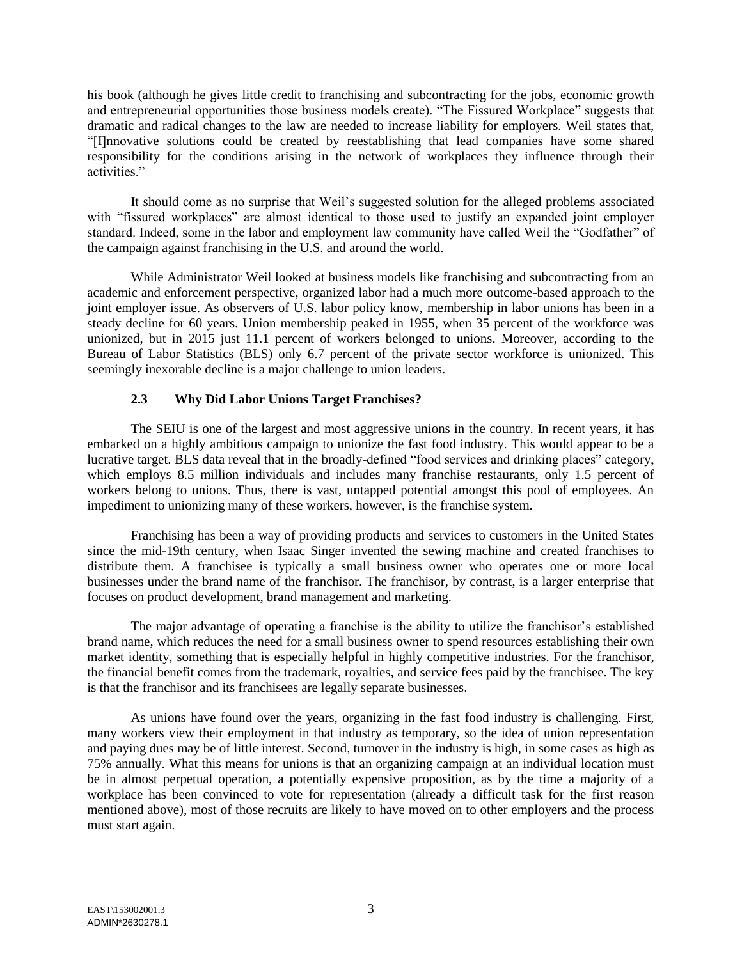his book (although he gives little credit to franchising and subcontracting for the jobs, economic growth and entrepreneurial opportunities those business models create). "The Fissured Workplace" suggests that dramatic and radical changes to the law are needed to increase liability for employers. Weil states that, "[I]nnovative solutions could be created by reestablishing that lead companies have some shared responsibility for the conditions arising in the network of workplaces they influence through their activities."

It should come as no surprise that Weil's suggested solution for the alleged problems associated with "fissured workplaces" are almost identical to those used to justify an expanded joint employer standard. Indeed, some in the labor and employment law community have called Weil the "Godfather" of the campaign against franchising in the U.S. and around the world.

While Administrator Weil looked at business models like franchising and subcontracting from an academic and enforcement perspective, organized labor had a much more outcome-based approach to the joint employer issue. As observers of U.S. labor policy know, membership in labor unions has been in a steady decline for 60 years. Union membership peaked in 1955, when 35 percent of the workforce was unionized, but in 2015 just 11.1 percent of workers belonged to unions. Moreover, according to the Bureau of Labor Statistics (BLS) only 6.7 percent of the private sector workforce is unionized. This seemingly inexorable decline is a major challenge to union leaders.

# **2.3 Why Did Labor Unions Target Franchises?**

The SEIU is one of the largest and most aggressive unions in the country. In recent years, it has embarked on a highly ambitious campaign to unionize the fast food industry. This would appear to be a lucrative target. BLS data reveal that in the broadly-defined "food services and drinking places" category, which employs 8.5 million individuals and includes many franchise restaurants, only 1.5 percent of workers belong to unions. Thus, there is vast, untapped potential amongst this pool of employees. An impediment to unionizing many of these workers, however, is the franchise system.

Franchising has been a way of providing products and services to customers in the United States since the mid-19th century, when Isaac Singer invented the sewing machine and created franchises to distribute them. A franchisee is typically a small business owner who operates one or more local businesses under the brand name of the franchisor. The franchisor, by contrast, is a larger enterprise that focuses on product development, brand management and marketing.

The major advantage of operating a franchise is the ability to utilize the franchisor's established brand name, which reduces the need for a small business owner to spend resources establishing their own market identity, something that is especially helpful in highly competitive industries. For the franchisor, the financial benefit comes from the trademark, royalties, and service fees paid by the franchisee. The key is that the franchisor and its franchisees are legally separate businesses.

As unions have found over the years, organizing in the fast food industry is challenging. First, many workers view their employment in that industry as temporary, so the idea of union representation and paying dues may be of little interest. Second, turnover in the industry is high, in some cases as high as 75% annually. What this means for unions is that an organizing campaign at an individual location must be in almost perpetual operation, a potentially expensive proposition, as by the time a majority of a workplace has been convinced to vote for representation (already a difficult task for the first reason mentioned above), most of those recruits are likely to have moved on to other employers and the process must start again.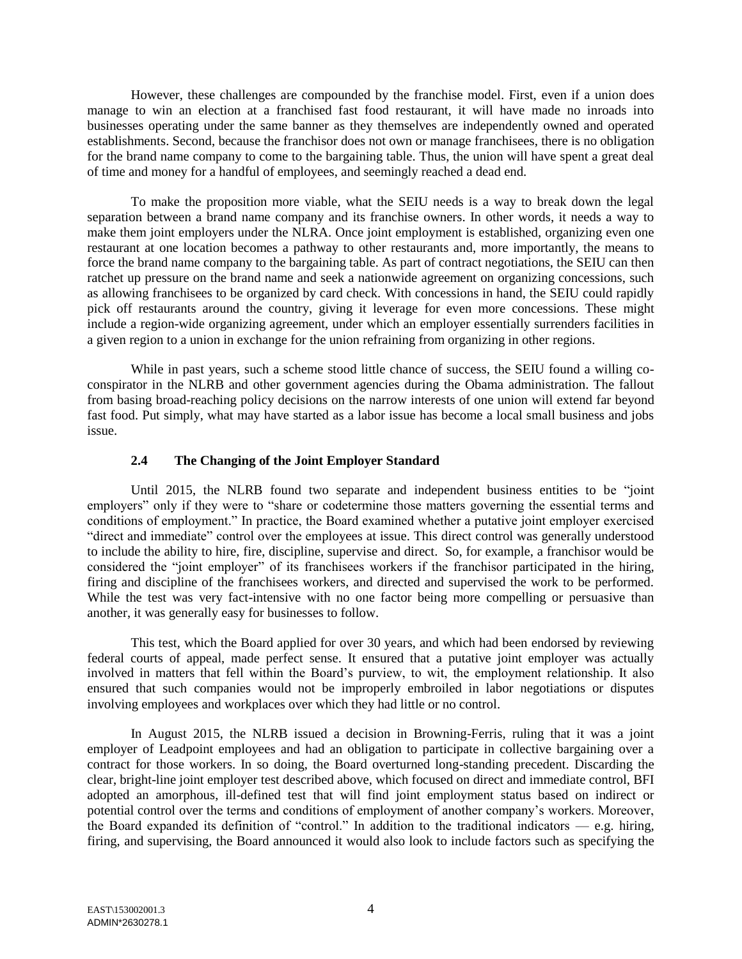However, these challenges are compounded by the franchise model. First, even if a union does manage to win an election at a franchised fast food restaurant, it will have made no inroads into businesses operating under the same banner as they themselves are independently owned and operated establishments. Second, because the franchisor does not own or manage franchisees, there is no obligation for the brand name company to come to the bargaining table. Thus, the union will have spent a great deal of time and money for a handful of employees, and seemingly reached a dead end.

To make the proposition more viable, what the SEIU needs is a way to break down the legal separation between a brand name company and its franchise owners. In other words, it needs a way to make them joint employers under the NLRA. Once joint employment is established, organizing even one restaurant at one location becomes a pathway to other restaurants and, more importantly, the means to force the brand name company to the bargaining table. As part of contract negotiations, the SEIU can then ratchet up pressure on the brand name and seek a nationwide agreement on organizing concessions, such as allowing franchisees to be organized by card check. With concessions in hand, the SEIU could rapidly pick off restaurants around the country, giving it leverage for even more concessions. These might include a region-wide organizing agreement, under which an employer essentially surrenders facilities in a given region to a union in exchange for the union refraining from organizing in other regions.

While in past years, such a scheme stood little chance of success, the SEIU found a willing coconspirator in the NLRB and other government agencies during the Obama administration. The fallout from basing broad-reaching policy decisions on the narrow interests of one union will extend far beyond fast food. Put simply, what may have started as a labor issue has become a local small business and jobs issue.

# **2.4 The Changing of the Joint Employer Standard**

Until 2015, the NLRB found two separate and independent business entities to be "joint employers" only if they were to "share or codetermine those matters governing the essential terms and conditions of employment." In practice, the Board examined whether a putative joint employer exercised "direct and immediate" control over the employees at issue. This direct control was generally understood to include the ability to hire, fire, discipline, supervise and direct. So, for example, a franchisor would be considered the "joint employer" of its franchisees workers if the franchisor participated in the hiring, firing and discipline of the franchisees workers, and directed and supervised the work to be performed. While the test was very fact-intensive with no one factor being more compelling or persuasive than another, it was generally easy for businesses to follow.

This test, which the Board applied for over 30 years, and which had been endorsed by reviewing federal courts of appeal, made perfect sense. It ensured that a putative joint employer was actually involved in matters that fell within the Board's purview, to wit, the employment relationship. It also ensured that such companies would not be improperly embroiled in labor negotiations or disputes involving employees and workplaces over which they had little or no control.

In August 2015, the NLRB issued a decision in Browning-Ferris, ruling that it was a joint employer of Leadpoint employees and had an obligation to participate in collective bargaining over a contract for those workers. In so doing, the Board overturned long-standing precedent. Discarding the clear, bright-line joint employer test described above, which focused on direct and immediate control, BFI adopted an amorphous, ill-defined test that will find joint employment status based on indirect or potential control over the terms and conditions of employment of another company's workers. Moreover, the Board expanded its definition of "control." In addition to the traditional indicators — e.g. hiring, firing, and supervising, the Board announced it would also look to include factors such as specifying the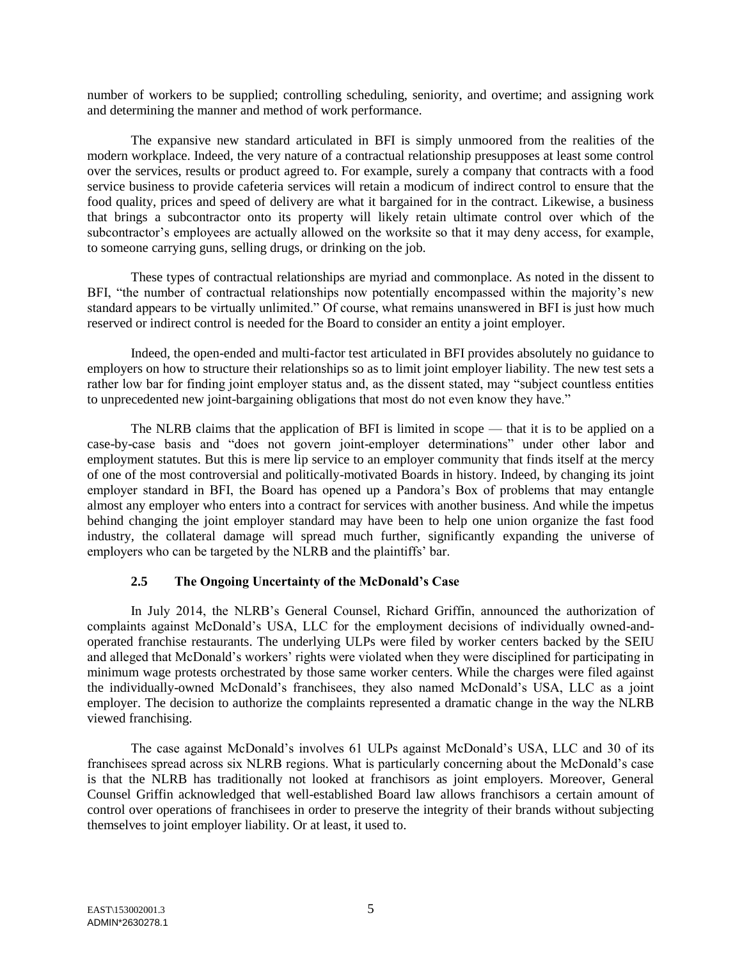number of workers to be supplied; controlling scheduling, seniority, and overtime; and assigning work and determining the manner and method of work performance.

The expansive new standard articulated in BFI is simply unmoored from the realities of the modern workplace. Indeed, the very nature of a contractual relationship presupposes at least some control over the services, results or product agreed to. For example, surely a company that contracts with a food service business to provide cafeteria services will retain a modicum of indirect control to ensure that the food quality, prices and speed of delivery are what it bargained for in the contract. Likewise, a business that brings a subcontractor onto its property will likely retain ultimate control over which of the subcontractor's employees are actually allowed on the worksite so that it may deny access, for example, to someone carrying guns, selling drugs, or drinking on the job.

These types of contractual relationships are myriad and commonplace. As noted in the dissent to BFI, "the number of contractual relationships now potentially encompassed within the majority's new standard appears to be virtually unlimited." Of course, what remains unanswered in BFI is just how much reserved or indirect control is needed for the Board to consider an entity a joint employer.

Indeed, the open-ended and multi-factor test articulated in BFI provides absolutely no guidance to employers on how to structure their relationships so as to limit joint employer liability. The new test sets a rather low bar for finding joint employer status and, as the dissent stated, may "subject countless entities to unprecedented new joint-bargaining obligations that most do not even know they have."

The NLRB claims that the application of BFI is limited in scope — that it is to be applied on a case-by-case basis and "does not govern joint-employer determinations" under other labor and employment statutes. But this is mere lip service to an employer community that finds itself at the mercy of one of the most controversial and politically-motivated Boards in history. Indeed, by changing its joint employer standard in BFI, the Board has opened up a Pandora's Box of problems that may entangle almost any employer who enters into a contract for services with another business. And while the impetus behind changing the joint employer standard may have been to help one union organize the fast food industry, the collateral damage will spread much further, significantly expanding the universe of employers who can be targeted by the NLRB and the plaintiffs' bar.

# **2.5 The Ongoing Uncertainty of the McDonald's Case**

In July 2014, the NLRB's General Counsel, Richard Griffin, announced the authorization of complaints against McDonald's USA, LLC for the employment decisions of individually owned-andoperated franchise restaurants. The underlying ULPs were filed by worker centers backed by the SEIU and alleged that McDonald's workers' rights were violated when they were disciplined for participating in minimum wage protests orchestrated by those same worker centers. While the charges were filed against the individually-owned McDonald's franchisees, they also named McDonald's USA, LLC as a joint employer. The decision to authorize the complaints represented a dramatic change in the way the NLRB viewed franchising.

The case against McDonald's involves 61 ULPs against McDonald's USA, LLC and 30 of its franchisees spread across six NLRB regions. What is particularly concerning about the McDonald's case is that the NLRB has traditionally not looked at franchisors as joint employers. Moreover, General Counsel Griffin acknowledged that well-established Board law allows franchisors a certain amount of control over operations of franchisees in order to preserve the integrity of their brands without subjecting themselves to joint employer liability. Or at least, it used to.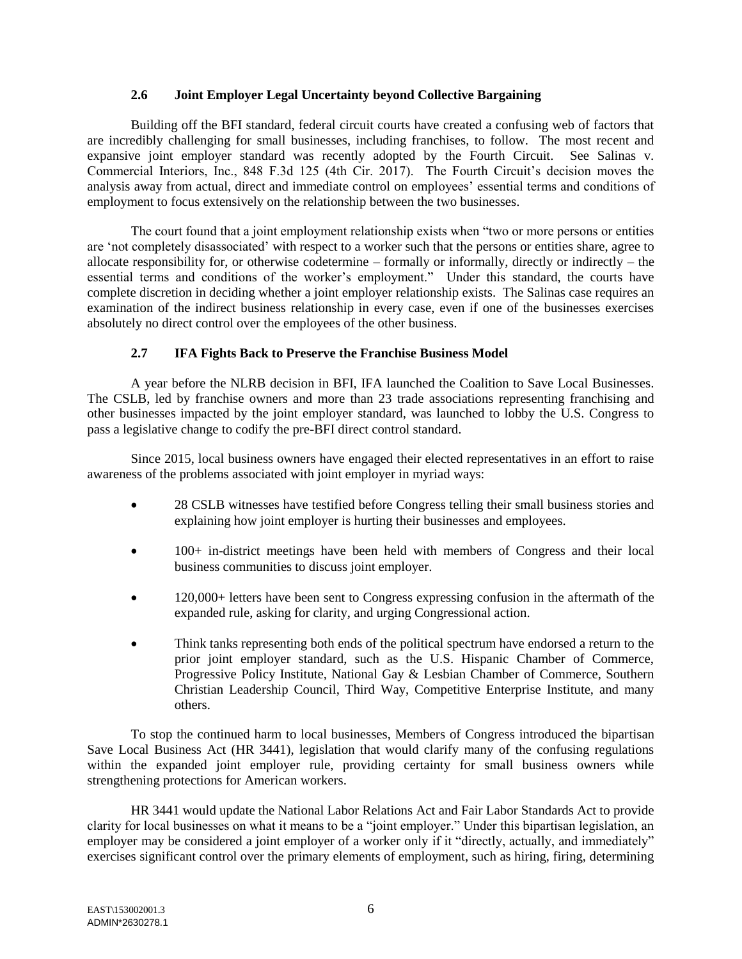### **2.6 Joint Employer Legal Uncertainty beyond Collective Bargaining**

Building off the BFI standard, federal circuit courts have created a confusing web of factors that are incredibly challenging for small businesses, including franchises, to follow. The most recent and expansive joint employer standard was recently adopted by the Fourth Circuit. See Salinas v. Commercial Interiors, Inc., 848 F.3d 125 (4th Cir. 2017). The Fourth Circuit's decision moves the analysis away from actual, direct and immediate control on employees' essential terms and conditions of employment to focus extensively on the relationship between the two businesses.

The court found that a joint employment relationship exists when "two or more persons or entities are 'not completely disassociated' with respect to a worker such that the persons or entities share, agree to allocate responsibility for, or otherwise codetermine – formally or informally, directly or indirectly – the essential terms and conditions of the worker's employment." Under this standard, the courts have complete discretion in deciding whether a joint employer relationship exists. The Salinas case requires an examination of the indirect business relationship in every case, even if one of the businesses exercises absolutely no direct control over the employees of the other business.

### **2.7 IFA Fights Back to Preserve the Franchise Business Model**

A year before the NLRB decision in BFI, IFA launched the Coalition to Save Local Businesses. The CSLB, led by franchise owners and more than 23 trade associations representing franchising and other businesses impacted by the joint employer standard, was launched to lobby the U.S. Congress to pass a legislative change to codify the pre-BFI direct control standard.

Since 2015, local business owners have engaged their elected representatives in an effort to raise awareness of the problems associated with joint employer in myriad ways:

- 28 CSLB witnesses have testified before Congress telling their small business stories and explaining how joint employer is hurting their businesses and employees.
- 100+ in-district meetings have been held with members of Congress and their local business communities to discuss joint employer.
- 120,000+ letters have been sent to Congress expressing confusion in the aftermath of the expanded rule, asking for clarity, and urging Congressional action.
- Think tanks representing both ends of the political spectrum have endorsed a return to the prior joint employer standard, such as the U.S. Hispanic Chamber of Commerce, Progressive Policy Institute, National Gay & Lesbian Chamber of Commerce, Southern Christian Leadership Council, Third Way, Competitive Enterprise Institute, and many others.

To stop the continued harm to local businesses, Members of Congress introduced the bipartisan Save Local Business Act (HR 3441), legislation that would clarify many of the confusing regulations within the expanded joint employer rule, providing certainty for small business owners while strengthening protections for American workers.

HR 3441 would update the National Labor Relations Act and Fair Labor Standards Act to provide clarity for local businesses on what it means to be a "joint employer." Under this bipartisan legislation, an employer may be considered a joint employer of a worker only if it "directly, actually, and immediately" exercises significant control over the primary elements of employment, such as hiring, firing, determining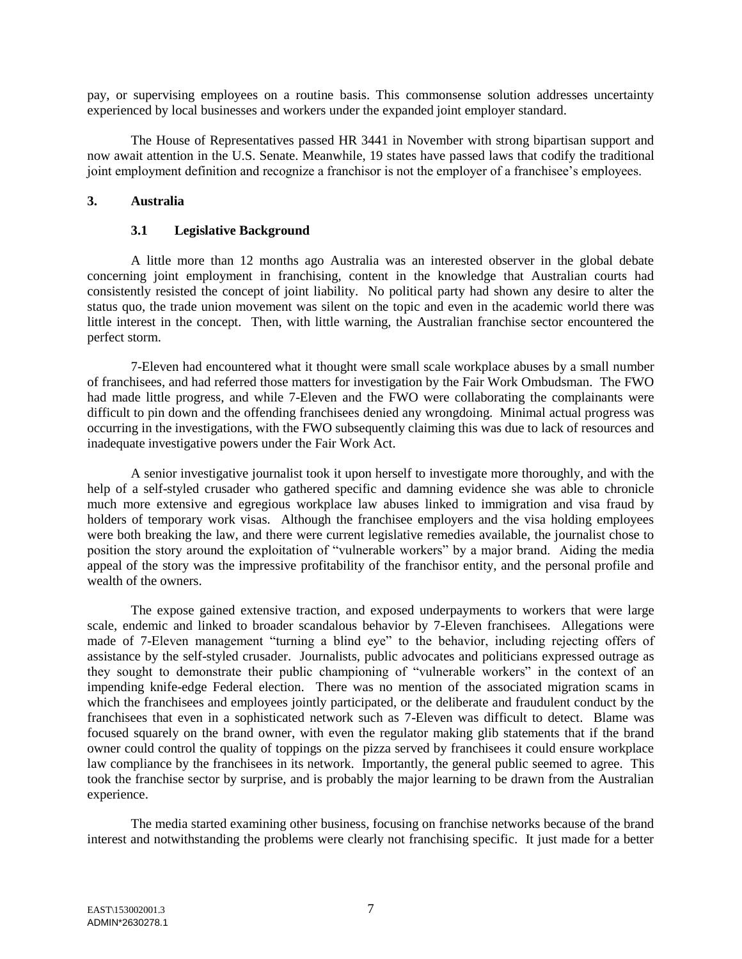pay, or supervising employees on a routine basis. This commonsense solution addresses uncertainty experienced by local businesses and workers under the expanded joint employer standard.

The House of Representatives passed HR 3441 in November with strong bipartisan support and now await attention in the U.S. Senate. Meanwhile, 19 states have passed laws that codify the traditional joint employment definition and recognize a franchisor is not the employer of a franchisee's employees.

### **3. Australia**

#### **3.1 Legislative Background**

A little more than 12 months ago Australia was an interested observer in the global debate concerning joint employment in franchising, content in the knowledge that Australian courts had consistently resisted the concept of joint liability. No political party had shown any desire to alter the status quo, the trade union movement was silent on the topic and even in the academic world there was little interest in the concept. Then, with little warning, the Australian franchise sector encountered the perfect storm.

7-Eleven had encountered what it thought were small scale workplace abuses by a small number of franchisees, and had referred those matters for investigation by the Fair Work Ombudsman. The FWO had made little progress, and while 7-Eleven and the FWO were collaborating the complainants were difficult to pin down and the offending franchisees denied any wrongdoing. Minimal actual progress was occurring in the investigations, with the FWO subsequently claiming this was due to lack of resources and inadequate investigative powers under the Fair Work Act.

A senior investigative journalist took it upon herself to investigate more thoroughly, and with the help of a self-styled crusader who gathered specific and damning evidence she was able to chronicle much more extensive and egregious workplace law abuses linked to immigration and visa fraud by holders of temporary work visas. Although the franchisee employers and the visa holding employees were both breaking the law, and there were current legislative remedies available, the journalist chose to position the story around the exploitation of "vulnerable workers" by a major brand. Aiding the media appeal of the story was the impressive profitability of the franchisor entity, and the personal profile and wealth of the owners.

The expose gained extensive traction, and exposed underpayments to workers that were large scale, endemic and linked to broader scandalous behavior by 7-Eleven franchisees. Allegations were made of 7-Eleven management "turning a blind eye" to the behavior, including rejecting offers of assistance by the self-styled crusader. Journalists, public advocates and politicians expressed outrage as they sought to demonstrate their public championing of "vulnerable workers" in the context of an impending knife-edge Federal election. There was no mention of the associated migration scams in which the franchisees and employees jointly participated, or the deliberate and fraudulent conduct by the franchisees that even in a sophisticated network such as 7-Eleven was difficult to detect. Blame was focused squarely on the brand owner, with even the regulator making glib statements that if the brand owner could control the quality of toppings on the pizza served by franchisees it could ensure workplace law compliance by the franchisees in its network. Importantly, the general public seemed to agree. This took the franchise sector by surprise, and is probably the major learning to be drawn from the Australian experience.

The media started examining other business, focusing on franchise networks because of the brand interest and notwithstanding the problems were clearly not franchising specific. It just made for a better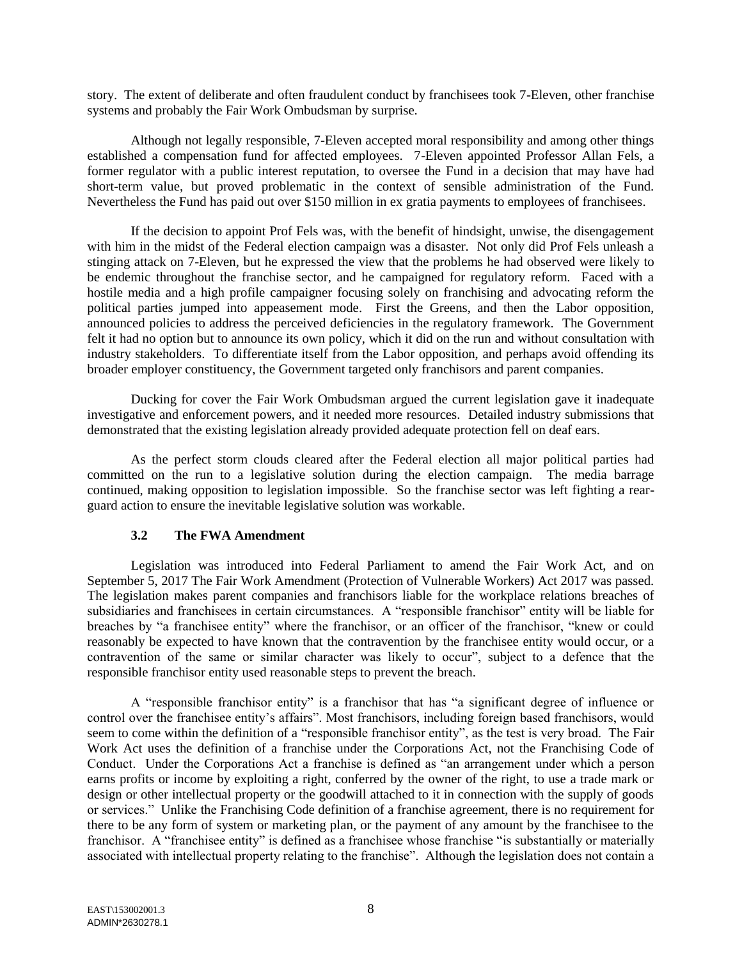story. The extent of deliberate and often fraudulent conduct by franchisees took 7-Eleven, other franchise systems and probably the Fair Work Ombudsman by surprise.

Although not legally responsible, 7-Eleven accepted moral responsibility and among other things established a compensation fund for affected employees. 7-Eleven appointed Professor Allan Fels, a former regulator with a public interest reputation, to oversee the Fund in a decision that may have had short-term value, but proved problematic in the context of sensible administration of the Fund. Nevertheless the Fund has paid out over \$150 million in ex gratia payments to employees of franchisees.

If the decision to appoint Prof Fels was, with the benefit of hindsight, unwise, the disengagement with him in the midst of the Federal election campaign was a disaster. Not only did Prof Fels unleash a stinging attack on 7-Eleven, but he expressed the view that the problems he had observed were likely to be endemic throughout the franchise sector, and he campaigned for regulatory reform. Faced with a hostile media and a high profile campaigner focusing solely on franchising and advocating reform the political parties jumped into appeasement mode. First the Greens, and then the Labor opposition, announced policies to address the perceived deficiencies in the regulatory framework. The Government felt it had no option but to announce its own policy, which it did on the run and without consultation with industry stakeholders. To differentiate itself from the Labor opposition, and perhaps avoid offending its broader employer constituency, the Government targeted only franchisors and parent companies.

Ducking for cover the Fair Work Ombudsman argued the current legislation gave it inadequate investigative and enforcement powers, and it needed more resources. Detailed industry submissions that demonstrated that the existing legislation already provided adequate protection fell on deaf ears.

As the perfect storm clouds cleared after the Federal election all major political parties had committed on the run to a legislative solution during the election campaign. The media barrage continued, making opposition to legislation impossible. So the franchise sector was left fighting a rearguard action to ensure the inevitable legislative solution was workable.

### **3.2 The FWA Amendment**

Legislation was introduced into Federal Parliament to amend the Fair Work Act, and on September 5, 2017 The Fair Work Amendment (Protection of Vulnerable Workers) Act 2017 was passed. The legislation makes parent companies and franchisors liable for the workplace relations breaches of subsidiaries and franchisees in certain circumstances. A "responsible franchisor" entity will be liable for breaches by "a franchisee entity" where the franchisor, or an officer of the franchisor, "knew or could reasonably be expected to have known that the contravention by the franchisee entity would occur, or a contravention of the same or similar character was likely to occur", subject to a defence that the responsible franchisor entity used reasonable steps to prevent the breach.

A "responsible franchisor entity" is a franchisor that has "a significant degree of influence or control over the franchisee entity's affairs". Most franchisors, including foreign based franchisors, would seem to come within the definition of a "responsible franchisor entity", as the test is very broad. The Fair Work Act uses the definition of a franchise under the Corporations Act, not the Franchising Code of Conduct. Under the Corporations Act a franchise is defined as "an arrangement under which a person earns profits or income by exploiting a right, conferred by the owner of the right, to use a trade mark or design or other intellectual property or the goodwill attached to it in connection with the supply of goods or services." Unlike the Franchising Code definition of a franchise agreement, there is no requirement for there to be any form of system or marketing plan, or the payment of any amount by the franchisee to the franchisor. A "franchisee entity" is defined as a franchisee whose franchise "is substantially or materially associated with intellectual property relating to the franchise". Although the legislation does not contain a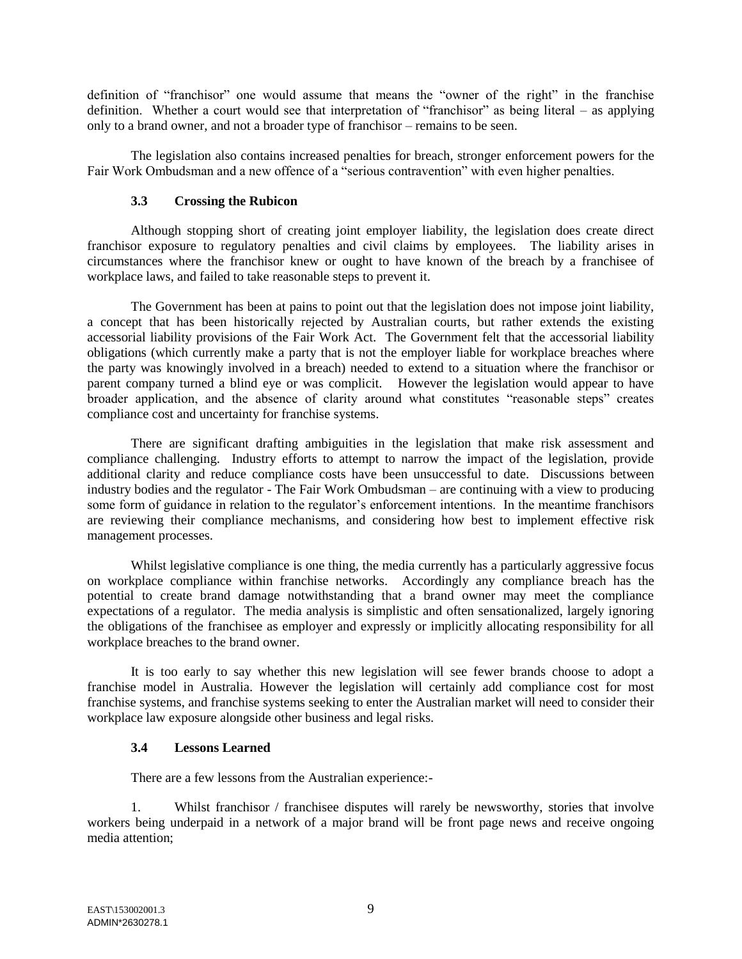definition of "franchisor" one would assume that means the "owner of the right" in the franchise definition. Whether a court would see that interpretation of "franchisor" as being literal – as applying only to a brand owner, and not a broader type of franchisor – remains to be seen.

The legislation also contains increased penalties for breach, stronger enforcement powers for the Fair Work Ombudsman and a new offence of a "serious contravention" with even higher penalties.

### **3.3 Crossing the Rubicon**

Although stopping short of creating joint employer liability, the legislation does create direct franchisor exposure to regulatory penalties and civil claims by employees. The liability arises in circumstances where the franchisor knew or ought to have known of the breach by a franchisee of workplace laws, and failed to take reasonable steps to prevent it.

The Government has been at pains to point out that the legislation does not impose joint liability, a concept that has been historically rejected by Australian courts, but rather extends the existing accessorial liability provisions of the Fair Work Act. The Government felt that the accessorial liability obligations (which currently make a party that is not the employer liable for workplace breaches where the party was knowingly involved in a breach) needed to extend to a situation where the franchisor or parent company turned a blind eye or was complicit. However the legislation would appear to have broader application, and the absence of clarity around what constitutes "reasonable steps" creates compliance cost and uncertainty for franchise systems.

There are significant drafting ambiguities in the legislation that make risk assessment and compliance challenging. Industry efforts to attempt to narrow the impact of the legislation, provide additional clarity and reduce compliance costs have been unsuccessful to date. Discussions between industry bodies and the regulator - The Fair Work Ombudsman – are continuing with a view to producing some form of guidance in relation to the regulator's enforcement intentions. In the meantime franchisors are reviewing their compliance mechanisms, and considering how best to implement effective risk management processes.

Whilst legislative compliance is one thing, the media currently has a particularly aggressive focus on workplace compliance within franchise networks. Accordingly any compliance breach has the potential to create brand damage notwithstanding that a brand owner may meet the compliance expectations of a regulator. The media analysis is simplistic and often sensationalized, largely ignoring the obligations of the franchisee as employer and expressly or implicitly allocating responsibility for all workplace breaches to the brand owner.

It is too early to say whether this new legislation will see fewer brands choose to adopt a franchise model in Australia. However the legislation will certainly add compliance cost for most franchise systems, and franchise systems seeking to enter the Australian market will need to consider their workplace law exposure alongside other business and legal risks.

### **3.4 Lessons Learned**

There are a few lessons from the Australian experience:-

1. Whilst franchisor / franchisee disputes will rarely be newsworthy, stories that involve workers being underpaid in a network of a major brand will be front page news and receive ongoing media attention;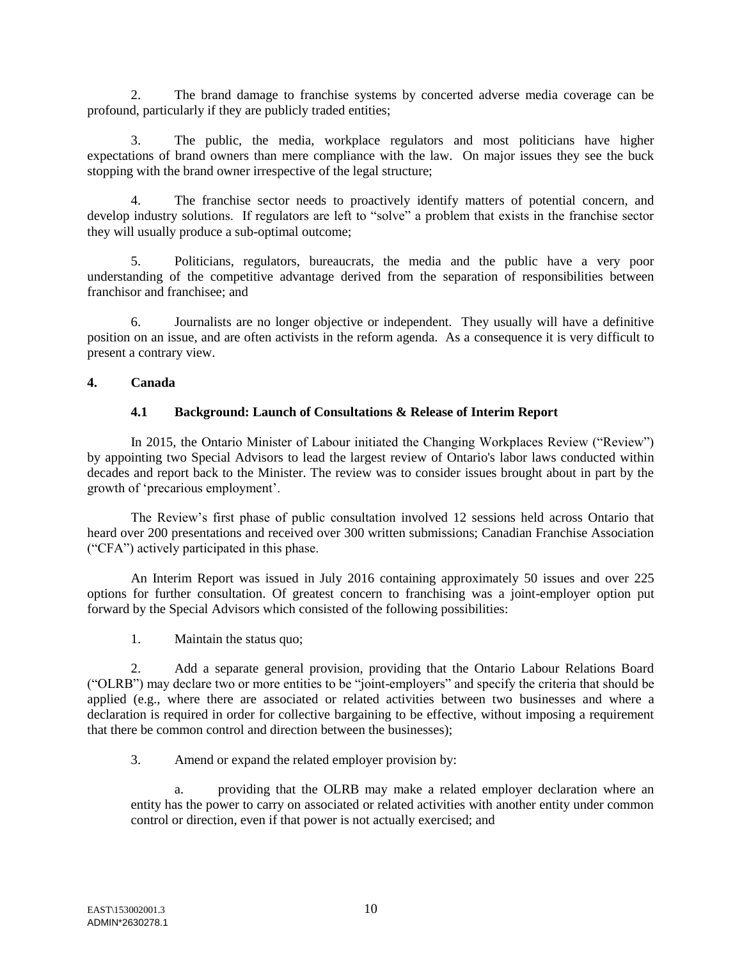2. The brand damage to franchise systems by concerted adverse media coverage can be profound, particularly if they are publicly traded entities;

3. The public, the media, workplace regulators and most politicians have higher expectations of brand owners than mere compliance with the law. On major issues they see the buck stopping with the brand owner irrespective of the legal structure;

The franchise sector needs to proactively identify matters of potential concern, and develop industry solutions. If regulators are left to "solve" a problem that exists in the franchise sector they will usually produce a sub-optimal outcome;

5. Politicians, regulators, bureaucrats, the media and the public have a very poor understanding of the competitive advantage derived from the separation of responsibilities between franchisor and franchisee; and

6. Journalists are no longer objective or independent. They usually will have a definitive position on an issue, and are often activists in the reform agenda. As a consequence it is very difficult to present a contrary view.

### **4. Canada**

# **4.1 Background: Launch of Consultations & Release of Interim Report**

In 2015, the Ontario Minister of Labour initiated the Changing Workplaces Review ("Review") by appointing two Special Advisors to lead the largest review of Ontario's labor laws conducted within decades and report back to the Minister. The review was to consider issues brought about in part by the growth of 'precarious employment'.

The Review's first phase of public consultation involved 12 sessions held across Ontario that heard over 200 presentations and received over 300 written submissions; Canadian Franchise Association ("CFA") actively participated in this phase.

An Interim Report was issued in July 2016 containing approximately 50 issues and over 225 options for further consultation. Of greatest concern to franchising was a joint-employer option put forward by the Special Advisors which consisted of the following possibilities:

1. Maintain the status quo;

2. Add a separate general provision, providing that the Ontario Labour Relations Board ("OLRB") may declare two or more entities to be "joint-employers" and specify the criteria that should be applied (e.g., where there are associated or related activities between two businesses and where a declaration is required in order for collective bargaining to be effective, without imposing a requirement that there be common control and direction between the businesses);

3. Amend or expand the related employer provision by:

a. providing that the OLRB may make a related employer declaration where an entity has the power to carry on associated or related activities with another entity under common control or direction, even if that power is not actually exercised; and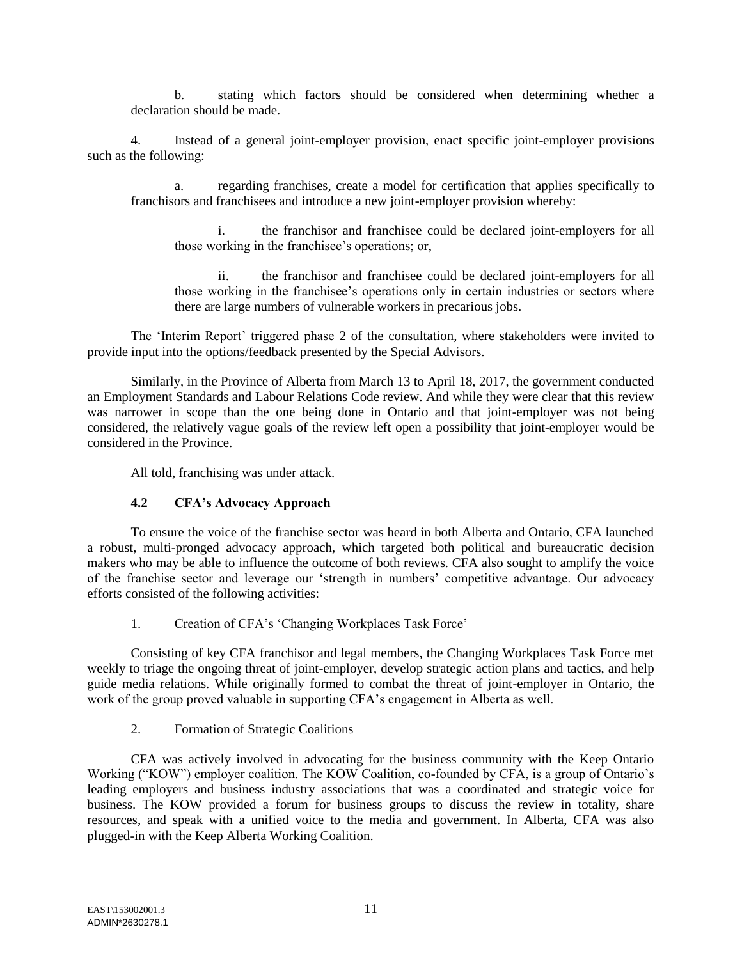b. stating which factors should be considered when determining whether a declaration should be made.

4. Instead of a general joint-employer provision, enact specific joint-employer provisions such as the following:

a. regarding franchises, create a model for certification that applies specifically to franchisors and franchisees and introduce a new joint-employer provision whereby:

i. the franchisor and franchisee could be declared joint-employers for all those working in the franchisee's operations; or,

ii. the franchisor and franchisee could be declared joint-employers for all those working in the franchisee's operations only in certain industries or sectors where there are large numbers of vulnerable workers in precarious jobs.

The 'Interim Report' triggered phase 2 of the consultation, where stakeholders were invited to provide input into the options/feedback presented by the Special Advisors.

Similarly, in the Province of Alberta from March 13 to April 18, 2017, the government conducted an Employment Standards and Labour Relations Code review. And while they were clear that this review was narrower in scope than the one being done in Ontario and that joint-employer was not being considered, the relatively vague goals of the review left open a possibility that joint-employer would be considered in the Province.

All told, franchising was under attack.

### **4.2 CFA's Advocacy Approach**

To ensure the voice of the franchise sector was heard in both Alberta and Ontario, CFA launched a robust, multi-pronged advocacy approach, which targeted both political and bureaucratic decision makers who may be able to influence the outcome of both reviews. CFA also sought to amplify the voice of the franchise sector and leverage our 'strength in numbers' competitive advantage. Our advocacy efforts consisted of the following activities:

1. Creation of CFA's 'Changing Workplaces Task Force'

Consisting of key CFA franchisor and legal members, the Changing Workplaces Task Force met weekly to triage the ongoing threat of joint-employer, develop strategic action plans and tactics, and help guide media relations. While originally formed to combat the threat of joint-employer in Ontario, the work of the group proved valuable in supporting CFA's engagement in Alberta as well.

2. Formation of Strategic Coalitions

CFA was actively involved in advocating for the business community with the Keep Ontario Working ("KOW") employer coalition. The KOW Coalition, co-founded by CFA, is a group of Ontario's leading employers and business industry associations that was a coordinated and strategic voice for business. The KOW provided a forum for business groups to discuss the review in totality, share resources, and speak with a unified voice to the media and government. In Alberta, CFA was also plugged-in with the Keep Alberta Working Coalition.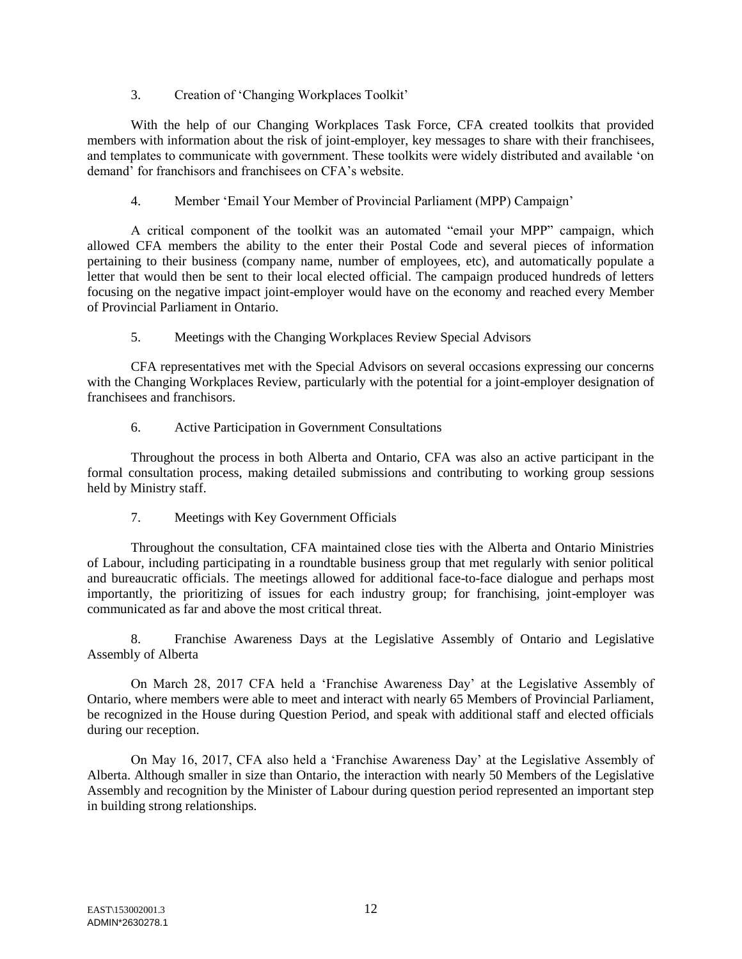3. Creation of 'Changing Workplaces Toolkit'

With the help of our Changing Workplaces Task Force, CFA created toolkits that provided members with information about the risk of joint-employer, key messages to share with their franchisees, and templates to communicate with government. These toolkits were widely distributed and available 'on demand' for franchisors and franchisees on CFA's website.

4. Member 'Email Your Member of Provincial Parliament (MPP) Campaign'

A critical component of the toolkit was an automated "email your MPP" campaign, which allowed CFA members the ability to the enter their Postal Code and several pieces of information pertaining to their business (company name, number of employees, etc), and automatically populate a letter that would then be sent to their local elected official. The campaign produced hundreds of letters focusing on the negative impact joint-employer would have on the economy and reached every Member of Provincial Parliament in Ontario.

5. Meetings with the Changing Workplaces Review Special Advisors

CFA representatives met with the Special Advisors on several occasions expressing our concerns with the Changing Workplaces Review, particularly with the potential for a joint-employer designation of franchisees and franchisors.

### 6. Active Participation in Government Consultations

Throughout the process in both Alberta and Ontario, CFA was also an active participant in the formal consultation process, making detailed submissions and contributing to working group sessions held by Ministry staff.

7. Meetings with Key Government Officials

Throughout the consultation, CFA maintained close ties with the Alberta and Ontario Ministries of Labour, including participating in a roundtable business group that met regularly with senior political and bureaucratic officials. The meetings allowed for additional face-to-face dialogue and perhaps most importantly, the prioritizing of issues for each industry group; for franchising, joint-employer was communicated as far and above the most critical threat.

8. Franchise Awareness Days at the Legislative Assembly of Ontario and Legislative Assembly of Alberta

On March 28, 2017 CFA held a 'Franchise Awareness Day' at the Legislative Assembly of Ontario, where members were able to meet and interact with nearly 65 Members of Provincial Parliament, be recognized in the House during Question Period, and speak with additional staff and elected officials during our reception.

On May 16, 2017, CFA also held a 'Franchise Awareness Day' at the Legislative Assembly of Alberta. Although smaller in size than Ontario, the interaction with nearly 50 Members of the Legislative Assembly and recognition by the Minister of Labour during question period represented an important step in building strong relationships.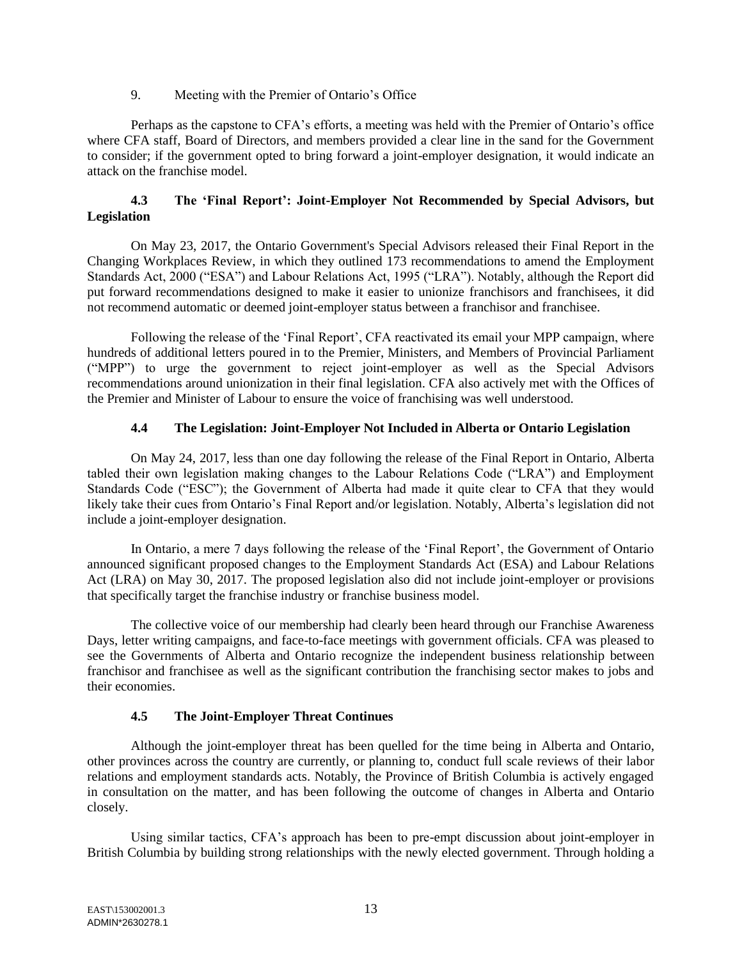### 9. Meeting with the Premier of Ontario's Office

Perhaps as the capstone to CFA's efforts, a meeting was held with the Premier of Ontario's office where CFA staff, Board of Directors, and members provided a clear line in the sand for the Government to consider; if the government opted to bring forward a joint-employer designation, it would indicate an attack on the franchise model.

# **4.3 The 'Final Report': Joint-Employer Not Recommended by Special Advisors, but Legislation**

On May 23, 2017, the Ontario Government's Special Advisors released their Final Report in the Changing Workplaces Review, in which they outlined 173 recommendations to amend the Employment Standards Act, 2000 ("ESA") and Labour Relations Act, 1995 ("LRA"). Notably, although the Report did put forward recommendations designed to make it easier to unionize franchisors and franchisees, it did not recommend automatic or deemed joint-employer status between a franchisor and franchisee.

Following the release of the 'Final Report', CFA reactivated its email your MPP campaign, where hundreds of additional letters poured in to the Premier, Ministers, and Members of Provincial Parliament ("MPP") to urge the government to reject joint-employer as well as the Special Advisors recommendations around unionization in their final legislation. CFA also actively met with the Offices of the Premier and Minister of Labour to ensure the voice of franchising was well understood.

# **4.4 The Legislation: Joint-Employer Not Included in Alberta or Ontario Legislation**

On May 24, 2017, less than one day following the release of the Final Report in Ontario, Alberta tabled their own legislation making changes to the Labour Relations Code ("LRA") and Employment Standards Code ("ESC"); the Government of Alberta had made it quite clear to CFA that they would likely take their cues from Ontario's Final Report and/or legislation. Notably, Alberta's legislation did not include a joint-employer designation.

In Ontario, a mere 7 days following the release of the 'Final Report', the Government of Ontario announced significant proposed changes to the Employment Standards Act (ESA) and Labour Relations Act (LRA) on May 30, 2017. The proposed legislation also did not include joint-employer or provisions that specifically target the franchise industry or franchise business model.

The collective voice of our membership had clearly been heard through our Franchise Awareness Days, letter writing campaigns, and face-to-face meetings with government officials. CFA was pleased to see the Governments of Alberta and Ontario recognize the independent business relationship between franchisor and franchisee as well as the significant contribution the franchising sector makes to jobs and their economies.

# **4.5 The Joint-Employer Threat Continues**

Although the joint-employer threat has been quelled for the time being in Alberta and Ontario, other provinces across the country are currently, or planning to, conduct full scale reviews of their labor relations and employment standards acts. Notably, the Province of British Columbia is actively engaged in consultation on the matter, and has been following the outcome of changes in Alberta and Ontario closely.

Using similar tactics, CFA's approach has been to pre-empt discussion about joint-employer in British Columbia by building strong relationships with the newly elected government. Through holding a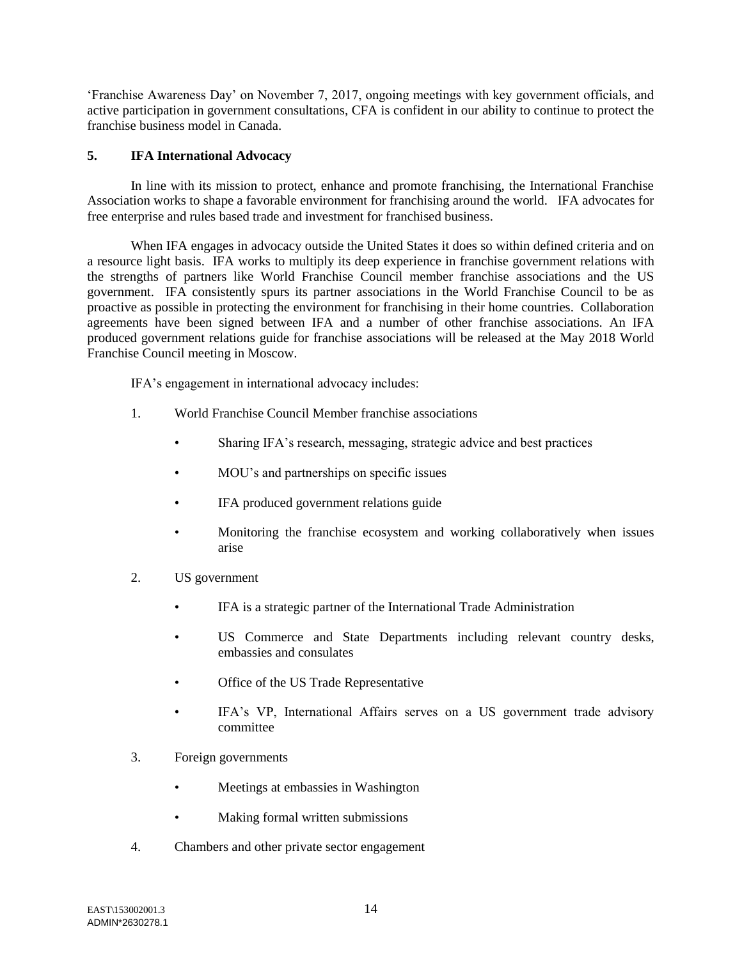'Franchise Awareness Day' on November 7, 2017, ongoing meetings with key government officials, and active participation in government consultations, CFA is confident in our ability to continue to protect the franchise business model in Canada.

### **5. IFA International Advocacy**

In line with its mission to protect, enhance and promote franchising, the International Franchise Association works to shape a favorable environment for franchising around the world. IFA advocates for free enterprise and rules based trade and investment for franchised business.

When IFA engages in advocacy outside the United States it does so within defined criteria and on a resource light basis. IFA works to multiply its deep experience in franchise government relations with the strengths of partners like World Franchise Council member franchise associations and the US government. IFA consistently spurs its partner associations in the World Franchise Council to be as proactive as possible in protecting the environment for franchising in their home countries. Collaboration agreements have been signed between IFA and a number of other franchise associations. An IFA produced government relations guide for franchise associations will be released at the May 2018 World Franchise Council meeting in Moscow.

IFA's engagement in international advocacy includes:

- 1. World Franchise Council Member franchise associations
	- Sharing IFA's research, messaging, strategic advice and best practices
	- MOU's and partnerships on specific issues
	- IFA produced government relations guide
	- Monitoring the franchise ecosystem and working collaboratively when issues arise
- 2. US government
	- IFA is a strategic partner of the International Trade Administration
	- US Commerce and State Departments including relevant country desks, embassies and consulates
	- Office of the US Trade Representative
	- IFA's VP, International Affairs serves on a US government trade advisory committee
- 3. Foreign governments
	- Meetings at embassies in Washington
	- Making formal written submissions
- 4. Chambers and other private sector engagement